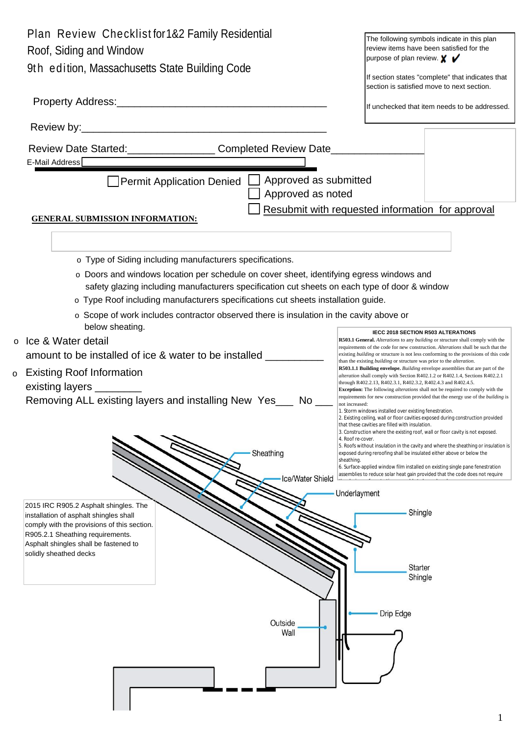|   | Plan Review Checklist for 1&2 Family Residential                                                                                                                                                                                                                               | The following symbols indicate in this plan                                                                                                                                                                                    |
|---|--------------------------------------------------------------------------------------------------------------------------------------------------------------------------------------------------------------------------------------------------------------------------------|--------------------------------------------------------------------------------------------------------------------------------------------------------------------------------------------------------------------------------|
|   | Roof, Siding and Window                                                                                                                                                                                                                                                        | review items have been satisfied for the                                                                                                                                                                                       |
|   | 9th edition, Massachusetts State Building Code                                                                                                                                                                                                                                 | purpose of plan review. $\boldsymbol{\mathsf{X}}$ $\boldsymbol{\mathsf{V}}$                                                                                                                                                    |
|   |                                                                                                                                                                                                                                                                                | If section states "complete" that indicates that<br>section is satisfied move to next section.                                                                                                                                 |
|   |                                                                                                                                                                                                                                                                                |                                                                                                                                                                                                                                |
|   |                                                                                                                                                                                                                                                                                | If unchecked that item needs to be addressed.                                                                                                                                                                                  |
|   |                                                                                                                                                                                                                                                                                |                                                                                                                                                                                                                                |
|   | Review Date Started:___________________Completed Review Date____________________                                                                                                                                                                                               |                                                                                                                                                                                                                                |
|   | E-Mail Address                                                                                                                                                                                                                                                                 |                                                                                                                                                                                                                                |
|   | Approved as submitted<br><b>Permit Application Denied <math>\Box</math></b>                                                                                                                                                                                                    |                                                                                                                                                                                                                                |
|   | Approved as noted                                                                                                                                                                                                                                                              |                                                                                                                                                                                                                                |
|   | <b>GENERAL SUBMISSION INFORMATION:</b>                                                                                                                                                                                                                                         | Resubmit with requested information for approval                                                                                                                                                                               |
|   |                                                                                                                                                                                                                                                                                |                                                                                                                                                                                                                                |
|   | o Type of Siding including manufacturers specifications.                                                                                                                                                                                                                       |                                                                                                                                                                                                                                |
|   | o Doors and windows location per schedule on cover sheet, identifying egress windows and<br>safety glazing including manufacturers specification cut sheets on each type of door & window<br>o Type Roof including manufacturers specifications cut sheets installation guide. |                                                                                                                                                                                                                                |
|   |                                                                                                                                                                                                                                                                                |                                                                                                                                                                                                                                |
|   |                                                                                                                                                                                                                                                                                |                                                                                                                                                                                                                                |
|   | o Scope of work includes contractor observed there is insulation in the cavity above or                                                                                                                                                                                        |                                                                                                                                                                                                                                |
|   | below sheating.<br>o Ice & Water detail                                                                                                                                                                                                                                        | IECC 2018 SECTION R503 ALTERATIONS<br>R503.1 General. Alterations to any building or structure shall comply with the                                                                                                           |
|   | amount to be installed of ice & water to be installed                                                                                                                                                                                                                          | requirements of the code for new construction. Alterations shall be such that the<br>existing <i>building</i> or structure is not less conforming to the provisions of this code                                               |
| o | <b>Existing Roof Information</b>                                                                                                                                                                                                                                               | than the existing <i>building</i> or structure was prior to the <i>alteration</i> .<br>R503.1.1 Building envelope. Building envelope assemblies that are part of the                                                           |
|   | existing layers __________                                                                                                                                                                                                                                                     | alteration shall comply with Section R402.1.2 or R402.1.4, Sections R402.2.1<br>through R402.2.13, R402.3.1, R402.3.2, R402.4.3 and R402.4.5.<br>Exception: The following alterations shall not be required to comply with the |
|   | Removing ALL existing layers and installing New Yes___<br>No l                                                                                                                                                                                                                 | requirements for new construction provided that the energy use of the building is<br>not increased:                                                                                                                            |
|   |                                                                                                                                                                                                                                                                                | 1. Storm windows installed over existing fenestration.<br>2. Existing ceiling, wall or floor cavities exposed during construction provided                                                                                     |
|   |                                                                                                                                                                                                                                                                                | that these cavities are filled with insulation.<br>3. Construction where the existing roof, wall or floor cavity is not exposed.<br>4. Roof re-cover.                                                                          |
|   | Sheathing                                                                                                                                                                                                                                                                      | 5. Roofs without insulation in the cavity and where the sheathing or insulation is<br>exposed during reroofing shall be insulated either above or below the                                                                    |
|   |                                                                                                                                                                                                                                                                                | sheathing.<br>6. Surface-applied window film installed on existing single pane fenestration                                                                                                                                    |
|   | Ice/Water Shield                                                                                                                                                                                                                                                               | assemblies to reduce solar heat gain provided that the code does not require                                                                                                                                                   |
|   |                                                                                                                                                                                                                                                                                | Underlayment                                                                                                                                                                                                                   |
|   | 2015 IRC R905.2 Asphalt shingles. The<br>installation of asphalt shingles shall                                                                                                                                                                                                | Shingle                                                                                                                                                                                                                        |
|   | comply with the provisions of this section.<br>R905.2.1 Sheathing requirements.                                                                                                                                                                                                |                                                                                                                                                                                                                                |
|   | Asphalt shingles shall be fastened to                                                                                                                                                                                                                                          |                                                                                                                                                                                                                                |
|   | solidly sheathed decks                                                                                                                                                                                                                                                         | Starter                                                                                                                                                                                                                        |
|   |                                                                                                                                                                                                                                                                                | Shingle                                                                                                                                                                                                                        |
|   |                                                                                                                                                                                                                                                                                |                                                                                                                                                                                                                                |
|   |                                                                                                                                                                                                                                                                                | Drip Edge                                                                                                                                                                                                                      |
|   | Outside<br>Wall                                                                                                                                                                                                                                                                |                                                                                                                                                                                                                                |
|   |                                                                                                                                                                                                                                                                                |                                                                                                                                                                                                                                |
|   |                                                                                                                                                                                                                                                                                |                                                                                                                                                                                                                                |
|   |                                                                                                                                                                                                                                                                                |                                                                                                                                                                                                                                |
|   |                                                                                                                                                                                                                                                                                |                                                                                                                                                                                                                                |
|   |                                                                                                                                                                                                                                                                                |                                                                                                                                                                                                                                |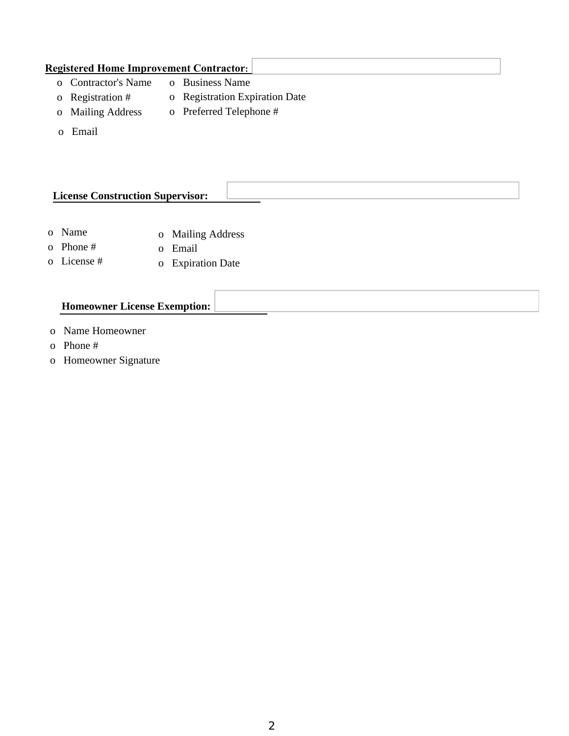## **Registered Home Improvement Contractor:** o Contractor's Name o Business Name

- o Registration #
- o Registration Expiration Date
- o Mailing Address
- o Preferred Telephone #
- o Email

## **License Construction Supervisor:**

- o Name o Mailing Address
- o Phone # o Email
- o License # o Expiration Date

## **Homeowner License Exemption:**

- o Name Homeowner
- o Phone #
- o Homeowner Signature